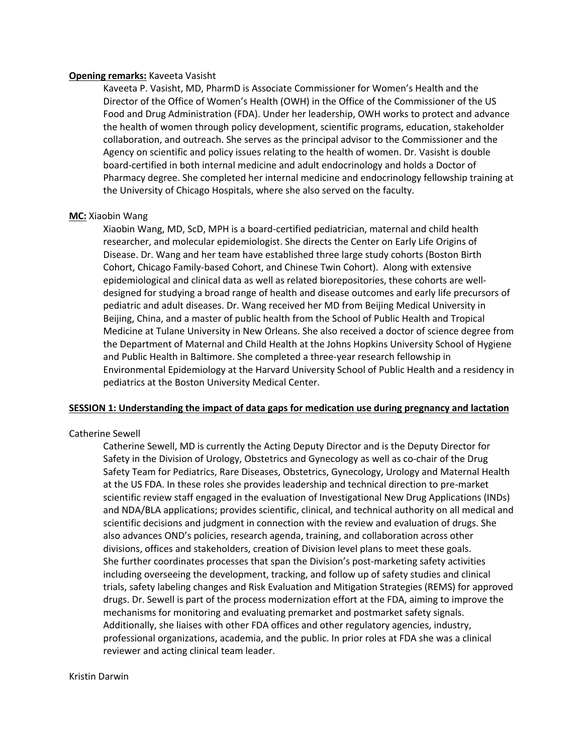# **Opening remarks:** Kaveeta Vasisht

Kaveeta P. Vasisht, MD, PharmD is Associate Commissioner for Women's Health and the Director of the Office of Women's Health (OWH) in the Office of the Commissioner of the US Food and Drug Administration (FDA). Under her leadership, OWH works to protect and advance the health of women through policy development, scientific programs, education, stakeholder collaboration, and outreach. She serves as the principal advisor to the Commissioner and the Agency on scientific and policy issues relating to the health of women. Dr. Vasisht is double board-certified in both internal medicine and adult endocrinology and holds a Doctor of Pharmacy degree. She completed her internal medicine and endocrinology fellowship training at the University of Chicago Hospitals, where she also served on the faculty.

# **MC:** Xiaobin Wang

Xiaobin Wang, MD, ScD, MPH is a board-certified pediatrician, maternal and child health researcher, and molecular epidemiologist. She directs the Center on Early Life Origins of Disease. Dr. Wang and her team have established three large study cohorts (Boston Birth Cohort, Chicago Family-based Cohort, and Chinese Twin Cohort). Along with extensive epidemiological and clinical data as well as related biorepositories, these cohorts are welldesigned for studying a broad range of health and disease outcomes and early life precursors of pediatric and adult diseases. Dr. Wang received her MD from Beijing Medical University in Beijing, China, and a master of public health from the School of Public Health and Tropical Medicine at Tulane University in New Orleans. She also received a doctor of science degree from the Department of Maternal and Child Health at the Johns Hopkins University School of Hygiene and Public Health in Baltimore. She completed a three-year research fellowship in Environmental Epidemiology at the Harvard University School of Public Health and a residency in pediatrics at the Boston University Medical Center.

# **SESSION 1: Understanding the impact of data gaps for medication use during pregnancy and lactation**

### Catherine Sewell

Catherine Sewell, MD is currently the Acting Deputy Director and is the Deputy Director for Safety in the Division of Urology, Obstetrics and Gynecology as well as co-chair of the Drug Safety Team for Pediatrics, Rare Diseases, Obstetrics, Gynecology, Urology and Maternal Health at the US FDA. In these roles she provides leadership and technical direction to pre-market scientific review staff engaged in the evaluation of Investigational New Drug Applications (INDs) and NDA/BLA applications; provides scientific, clinical, and technical authority on all medical and scientific decisions and judgment in connection with the review and evaluation of drugs. She also advances OND's policies, research agenda, training, and collaboration across other divisions, offices and stakeholders, creation of Division level plans to meet these goals. She further coordinates processes that span the Division's post-marketing safety activities including overseeing the development, tracking, and follow up of safety studies and clinical trials, safety labeling changes and Risk Evaluation and Mitigation Strategies (REMS) for approved drugs. Dr. Sewell is part of the process modernization effort at the FDA, aiming to improve the mechanisms for monitoring and evaluating premarket and postmarket safety signals. Additionally, she liaises with other FDA offices and other regulatory agencies, industry, professional organizations, academia, and the public. In prior roles at FDA she was a clinical reviewer and acting clinical team leader.

## Kristin Darwin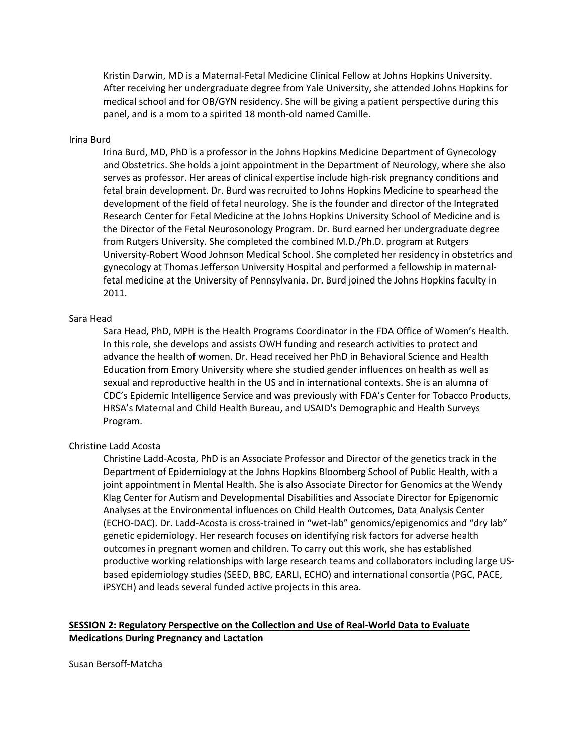Kristin Darwin, MD is a Maternal-Fetal Medicine Clinical Fellow at Johns Hopkins University. After receiving her undergraduate degree from Yale University, she attended Johns Hopkins for medical school and for OB/GYN residency. She will be giving a patient perspective during this panel, and is a mom to a spirited 18 month-old named Camille.

#### Irina Burd

Irina Burd, MD, PhD is a professor in the Johns Hopkins Medicine Department of Gynecology and Obstetrics. She holds a joint appointment in the Department of Neurology, where she also serves as professor. Her areas of clinical expertise include high-risk pregnancy conditions and fetal brain development. Dr. Burd was recruited to Johns Hopkins Medicine to spearhead the development of the field of fetal neurology. She is the founder and director of the Integrated Research Center for Fetal Medicine at the Johns Hopkins University School of Medicine and is the Director of the Fetal Neurosonology Program. Dr. Burd earned her undergraduate degree from Rutgers University. She completed the combined M.D./Ph.D. program at Rutgers University-Robert Wood Johnson Medical School. She completed her residency in obstetrics and gynecology at Thomas Jefferson University Hospital and performed a fellowship in maternalfetal medicine at the University of Pennsylvania. Dr. Burd joined the Johns Hopkins faculty in 2011.

## Sara Head

Sara Head, PhD, MPH is the Health Programs Coordinator in the FDA Office of Women's Health. In this role, she develops and assists OWH funding and research activities to protect and advance the health of women. Dr. Head received her PhD in Behavioral Science and Health Education from Emory University where she studied gender influences on health as well as sexual and reproductive health in the US and in international contexts. She is an alumna of CDC's Epidemic Intelligence Service and was previously with FDA's Center for Tobacco Products, HRSA's Maternal and Child Health Bureau, and USAID's Demographic and Health Surveys Program.

# Christine Ladd Acosta

Christine Ladd-Acosta, PhD is an Associate Professor and Director of the genetics track in the Department of Epidemiology at the Johns Hopkins Bloomberg School of Public Health, with a joint appointment in Mental Health. She is also Associate Director for Genomics at the Wendy Klag Center for Autism and Developmental Disabilities and Associate Director for Epigenomic Analyses at the Environmental influences on Child Health Outcomes, Data Analysis Center (ECHO-DAC). Dr. Ladd-Acosta is cross-trained in "wet-lab" genomics/epigenomics and "dry lab" genetic epidemiology. Her research focuses on identifying risk factors for adverse health outcomes in pregnant women and children. To carry out this work, she has established productive working relationships with large research teams and collaborators including large USbased epidemiology studies (SEED, BBC, EARLI, ECHO) and international consortia (PGC, PACE, iPSYCH) and leads several funded active projects in this area.

# **SESSION 2: Regulatory Perspective on the Collection and Use of Real-World Data to Evaluate Medications During Pregnancy and Lactation**

Susan Bersoff-Matcha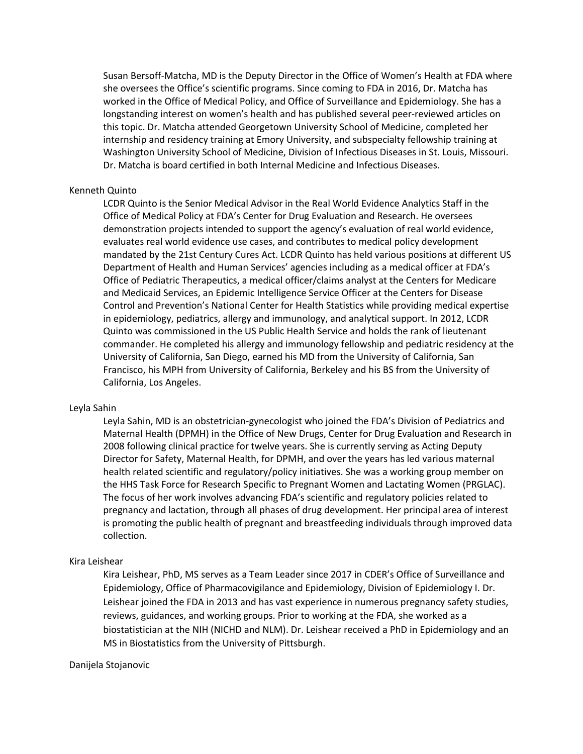Susan Bersoff-Matcha, MD is the Deputy Director in the Office of Women's Health at FDA where she oversees the Office's scientific programs. Since coming to FDA in 2016, Dr. Matcha has worked in the Office of Medical Policy, and Office of Surveillance and Epidemiology. She has a longstanding interest on women's health and has published several peer-reviewed articles on this topic. Dr. Matcha attended Georgetown University School of Medicine, completed her internship and residency training at Emory University, and subspecialty fellowship training at Washington University School of Medicine, Division of Infectious Diseases in St. Louis, Missouri. Dr. Matcha is board certified in both Internal Medicine and Infectious Diseases.

### Kenneth Quinto

LCDR Quinto is the Senior Medical Advisor in the Real World Evidence Analytics Staff in the Office of Medical Policy at FDA's Center for Drug Evaluation and Research. He oversees demonstration projects intended to support the agency's evaluation of real world evidence, evaluates real world evidence use cases, and contributes to medical policy development mandated by the 21st Century Cures Act. LCDR Quinto has held various positions at different US Department of Health and Human Services' agencies including as a medical officer at FDA's Office of Pediatric Therapeutics, a medical officer/claims analyst at the Centers for Medicare and Medicaid Services, an Epidemic Intelligence Service Officer at the Centers for Disease Control and Prevention's National Center for Health Statistics while providing medical expertise in epidemiology, pediatrics, allergy and immunology, and analytical support. In 2012, LCDR Quinto was commissioned in the US Public Health Service and holds the rank of lieutenant commander. He completed his allergy and immunology fellowship and pediatric residency at the University of California, San Diego, earned his MD from the University of California, San Francisco, his MPH from University of California, Berkeley and his BS from the University of California, Los Angeles.

## Leyla Sahin

Leyla Sahin, MD is an obstetrician-gynecologist who joined the FDA's Division of Pediatrics and Maternal Health (DPMH) in the Office of New Drugs, Center for Drug Evaluation and Research in 2008 following clinical practice for twelve years. She is currently serving as Acting Deputy Director for Safety, Maternal Health, for DPMH, and over the years has led various maternal health related scientific and regulatory/policy initiatives. She was a working group member on the HHS Task Force for Research Specific to Pregnant Women and Lactating Women (PRGLAC). The focus of her work involves advancing FDA's scientific and regulatory policies related to pregnancy and lactation, through all phases of drug development. Her principal area of interest is promoting the public health of pregnant and breastfeeding individuals through improved data collection.

# Kira Leishear

Kira Leishear, PhD, MS serves as a Team Leader since 2017 in CDER's Office of Surveillance and Epidemiology, Office of Pharmacovigilance and Epidemiology, Division of Epidemiology I. Dr. Leishear joined the FDA in 2013 and has vast experience in numerous pregnancy safety studies, reviews, guidances, and working groups. Prior to working at the FDA, she worked as a biostatistician at the NIH (NICHD and NLM). Dr. Leishear received a PhD in Epidemiology and an MS in Biostatistics from the University of Pittsburgh.

# Danijela Stojanovic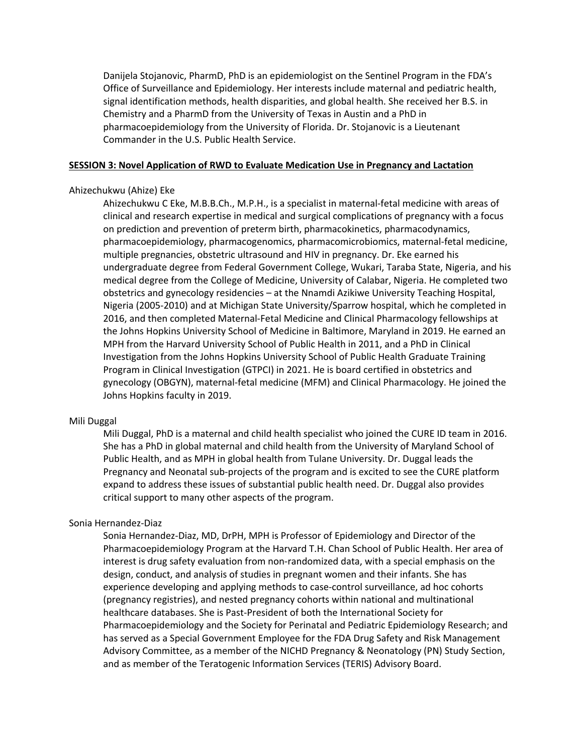Danijela Stojanovic, PharmD, PhD is an epidemiologist on the Sentinel Program in the FDA's Office of Surveillance and Epidemiology. Her interests include maternal and pediatric health, signal identification methods, health disparities, and global health. She received her B.S. in Chemistry and a PharmD from the University of Texas in Austin and a PhD in pharmacoepidemiology from the University of Florida. Dr. Stojanovic is a Lieutenant Commander in the U.S. Public Health Service.

# **SESSION 3: Novel Application of RWD to Evaluate Medication Use in Pregnancy and Lactation**

#### Ahizechukwu (Ahize) Eke

Ahizechukwu C Eke, M.B.B.Ch., M.P.H., is a specialist in maternal-fetal medicine with areas of clinical and research expertise in medical and surgical complications of pregnancy with a focus on prediction and prevention of preterm birth, pharmacokinetics, pharmacodynamics, pharmacoepidemiology, pharmacogenomics, pharmacomicrobiomics, maternal-fetal medicine, multiple pregnancies, obstetric ultrasound and HIV in pregnancy. Dr. Eke earned his undergraduate degree from Federal Government College, Wukari, Taraba State, Nigeria, and his medical degree from the College of Medicine, University of Calabar, Nigeria. He completed two obstetrics and gynecology residencies – at the Nnamdi Azikiwe University Teaching Hospital, Nigeria (2005-2010) and at Michigan State University/Sparrow hospital, which he completed in 2016, and then completed Maternal-Fetal Medicine and Clinical Pharmacology fellowships at the Johns Hopkins University School of Medicine in Baltimore, Maryland in 2019. He earned an MPH from the Harvard University School of Public Health in 2011, and a PhD in Clinical Investigation from the Johns Hopkins University School of Public Health Graduate Training Program in Clinical Investigation (GTPCI) in 2021. He is board certified in obstetrics and gynecology (OBGYN), maternal-fetal medicine (MFM) and Clinical Pharmacology. He joined the Johns Hopkins faculty in 2019.

#### Mili Duggal

Mili Duggal, PhD is a maternal and child health specialist who joined the CURE ID team in 2016. She has a PhD in global maternal and child health from the University of Maryland School of Public Health, and as MPH in global health from Tulane University. Dr. Duggal leads the Pregnancy and Neonatal sub-projects of the program and is excited to see the CURE platform expand to address these issues of substantial public health need. Dr. Duggal also provides critical support to many other aspects of the program.

## Sonia Hernandez-Diaz

Sonia Hernandez-Diaz, MD, DrPH, MPH is Professor of Epidemiology and Director of the Pharmacoepidemiology Program at the Harvard T.H. Chan School of Public Health. Her area of interest is drug safety evaluation from non-randomized data, with a special emphasis on the design, conduct, and analysis of studies in pregnant women and their infants. She has experience developing and applying methods to case-control surveillance, ad hoc cohorts (pregnancy registries), and nested pregnancy cohorts within national and multinational healthcare databases. She is Past-President of both the International Society for Pharmacoepidemiology and the Society for Perinatal and Pediatric Epidemiology Research; and has served as a Special Government Employee for the FDA Drug Safety and Risk Management Advisory Committee, as a member of the NICHD Pregnancy & Neonatology (PN) Study Section, and as member of the Teratogenic Information Services (TERIS) Advisory Board.